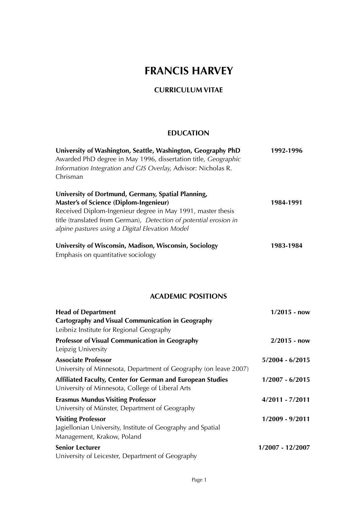# **FRANCIS HARVEY**

# **CURRICULUM VITAE**

# **EDUCATION**

| University of Washington, Seattle, Washington, Geography PhD<br>Awarded PhD degree in May 1996, dissertation title, Geographic<br>Information Integration and GIS Overlay, Advisor: Nicholas R.<br>Chrisman                                                                                | 1992-1996          |  |
|--------------------------------------------------------------------------------------------------------------------------------------------------------------------------------------------------------------------------------------------------------------------------------------------|--------------------|--|
| University of Dortmund, Germany, Spatial Planning,<br><b>Master's of Science (Diplom-Ingenieur)</b><br>Received Diplom-Ingenieur degree in May 1991, master thesis<br>title (translated from German), Detection of potential erosion in<br>alpine pastures using a Digital Elevation Model | 1984-1991          |  |
| University of Wisconsin, Madison, Wisconsin, Sociology<br>Emphasis on quantitative sociology                                                                                                                                                                                               | 1983-1984          |  |
| <b>ACADEMIC POSITIONS</b>                                                                                                                                                                                                                                                                  |                    |  |
| <b>Head of Department</b><br><b>Cartography and Visual Communication in Geography</b><br>Leibniz Institute for Regional Geography                                                                                                                                                          | $1/2015 - now$     |  |
| <b>Professor of Visual Communication in Geography</b><br>Leipzig University                                                                                                                                                                                                                | $2/2015 - now$     |  |
| <b>Associate Professor</b><br>University of Minnesota, Department of Geography (on leave 2007)                                                                                                                                                                                             | $5/2004 - 6/2015$  |  |
| Affiliated Faculty, Center for German and European Studies<br>University of Minnesota, College of Liberal Arts                                                                                                                                                                             | $1/2007 - 6/2015$  |  |
| <b>Erasmus Mundus Visiting Professor</b><br>University of Münster, Department of Geography                                                                                                                                                                                                 | $4/2011 - 7/2011$  |  |
| <b>Visiting Professor</b><br>Jagiellonian University, Institute of Geography and Spatial<br>Management, Krakow, Poland                                                                                                                                                                     | 1/2009 - 9/2011    |  |
| <b>Senior Lecturer</b><br>University of Leicester, Department of Geography                                                                                                                                                                                                                 | $1/2007 - 12/2007$ |  |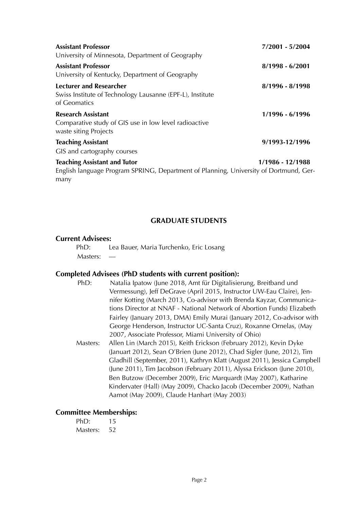| <b>Assistant Professor</b><br>University of Minnesota, Department of Geography                                               | 7/2001 - 5/2004   |
|------------------------------------------------------------------------------------------------------------------------------|-------------------|
| <b>Assistant Professor</b><br>University of Kentucky, Department of Geography                                                | $8/1998 - 6/2001$ |
| Lecturer and Researcher<br>Swiss Institute of Technology Lausanne (EPF-L), Institute<br>of Geomatics                         | 8/1996 - 8/1998   |
| <b>Research Assistant</b><br>Comparative study of GIS use in low level radioactive<br>waste siting Projects                  | 1/1996 - 6/1996   |
| <b>Teaching Assistant</b><br>GIS and cartography courses                                                                     | 9/1993-12/1996    |
| <b>Teaching Assistant and Tutor</b><br>English language Program SPRING, Department of Planning, University of Dortmund, Ger- | 1/1986 - 12/1988  |

# **GRADUATE STUDENTS**

#### **Current Advisees:**

many

PhD: Lea Bauer, Maria Turchenko, Eric Losang Masters: —

# **Completed Advisees (PhD students with current position):**

- PhD: Natalia Ipatow (June 2018, Amt für Digitalisierung, Breitband und Vermessung), Jeff DeGrave (April 2015, Instructor UW-Eau Claire), Jennifer Kotting (March 2013, Co-advisor with Brenda Kayzar, Communications Director at NNAF - National Network of Abortion Funds) Elizabeth Fairley (January 2013, DMA) Emily Murai (January 2012, Co-advisor with George Henderson, Instructor UC-Santa Cruz), Roxanne Ornelas, (May 2007, Associate Professor, Miami University of Ohio)
- Masters: Allen Lin (March 2015), Keith Erickson (February 2012), Kevin Dyke (Januart 2012), Sean O'Brien (June 2012), Chad Sigler (June, 2012), Tim Gladhill (September, 2011), Kathryn Klatt (August 2011), Jessica Campbell (June 2011), Tim Jacobson (February 2011), Alyssa Erickson (June 2010), Ben Butzow (December 2009), Eric Marquardt (May 2007), Katharine Kindervater (Hall) (May 2009), Chacko Jacob (December 2009), Nathan Aamot (May 2009), Claude Hanhart (May 2003)

# **Committee Memberships:**

| PhD:     | 15 |
|----------|----|
| Masters: | 52 |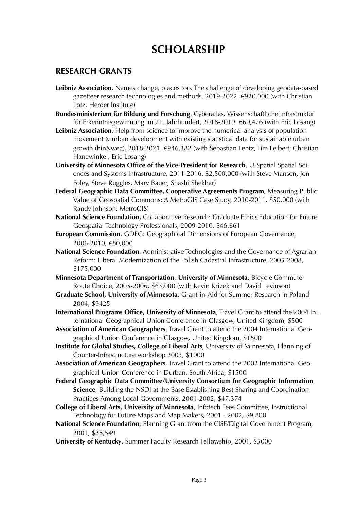# **SCHOLARSHIP**

# **RESEARCH GRANTS**

- **Leibniz Association**, Names change, places too. The challenge of developing geodata-based gazetteer research technologies and methods. 2019-2022. €920,000 (with Christian Lotz, Herder Institute)
- **Bundesministerium für Bildung und Forschung**, Cyberatlas. Wissenschaftliche Infrastruktur für Erkenntnisgewinnung im 21. Jahrhundert, 2018-2019. €60,426 (with Eric Losang)
- **Leibniz Association**, Help from science to improve the numerical analysis of population movement & urban development with existing statistical data for sustainable urban growth (hin&weg), 2018-2021. €946,382 (with Sebastian Lentz, Tim Leibert, Christian Hanewinkel, Eric Losang)
- **University of Minnesota Office of the Vice-President for Research**, U-Spatial Spatial Sciences and Systems Infrastructure, 2011-2016. \$2,500,000 (with Steve Manson, Jon Foley, Steve Ruggles, Marv Bauer, Shashi Shekhar)
- **Federal Geographic Data Committee, Cooperative Agreements Program**, Measuring Public Value of Geospatial Commons: A MetroGIS Case Study, 2010-2011. \$50,000 (with Randy Johnson, MetroGIS)
- **National Science Foundation,** Collaborative Research: Graduate Ethics Education for Future Geospatial Technology Professionals, 2009-2010, \$46,661
- **European Commission**, GDEG: Geographical Dimensions of European Governance, 2006-2010, €80,000
- **National Science Foundation**, Administrative Technologies and the Governance of Agrarian Reform: Liberal Modernization of the Polish Cadastral Infrastructure, 2005-2008, \$175,000
- **Minnesota Department of Transportation**, **University of Minnesota**, Bicycle Commuter Route Choice, 2005-2006, \$63,000 (with Kevin Krizek and David Levinson)
- **Graduate School, University of Minnesota**, Grant-in-Aid for Summer Research in Poland 2004, \$9425
- **International Programs Office, University of Minnesota**, Travel Grant to attend the 2004 International Geographical Union Conference in Glasgow, United Kingdom, \$500
- **Association of American Geographers**, Travel Grant to attend the 2004 International Geographical Union Conference in Glasgow, United Kingdom, \$1500
- **Institute for Global Studies, College of Liberal Arts**, University of Minnesota, Planning of Counter-Infrastructure workshop 2003, \$1000
- **Association of American Geographers**, Travel Grant to attend the 2002 International Geographical Union Conference in Durban, South Africa, \$1500
- **Federal Geographic Data Committee/University Consortium for Geographic Information Science**, Building the NSDI at the Base Establishing Best Sharing and Coordination Practices Among Local Governments, 2001-2002, \$47,374
- **College of Liberal Arts, University of Minnesota**, Infotech Fees Committee, Instructional Technology for Future Maps and Map Makers, 2001 - 2002, \$9,800
- **National Science Foundation**, Planning Grant from the CISE/Digital Government Program, 2001, \$28,549
- **University of Kentucky**, Summer Faculty Research Fellowship, 2001, \$5000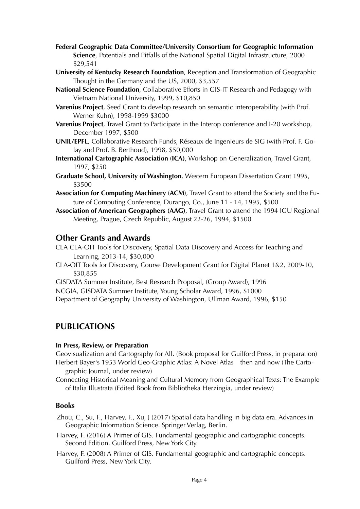- **Federal Geographic Data Committee/University Consortium for Geographic Information Science**, Potentials and Pitfalls of the National Spatial Digital Infrastructure, 2000 \$29,541
- **University of Kentucky Research Foundation**, Reception and Transformation of Geographic Thought in the Germany and the US, 2000, \$3,557
- **National Science Foundation**, Collaborative Efforts in GIS-IT Research and Pedagogy with Vietnam National University, 1999, \$10,850
- **Varenius Project**, Seed Grant to develop research on semantic interoperability (with Prof. Werner Kuhn), 1998-1999 \$3000
- **Varenius Project**, Travel Grant to Participate in the Interop conference and I-20 workshop, December 1997, \$500
- **UNIL/EPFL**, Collaborative Research Funds, Réseaux de Ingenieurs de SIG (with Prof. F. Golay and Prof. B. Berthoud), 1998, \$50,000
- **International Cartographic Association** (**ICA)**, Workshop on Generalization, Travel Grant, 1997, \$250
- **Graduate School, University of Washington**, Western European Dissertation Grant 1995, \$3500
- **Association for Computing Machinery** (**ACM**), Travel Grant to attend the Society and the Future of Computing Conference, Durango, Co., June 11 - 14, 1995, \$500
- **Association of American Geographers (AAG)**, Travel Grant to attend the 1994 IGU Regional Meeting, Prague, Czech Republic, August 22-26, 1994, \$1500

# **Other Grants and Awards**

CLA CLA-OIT Tools for Discovery, Spatial Data Discovery and Access for Teaching and Learning, 2013-14, \$30,000

- CLA-OIT Tools for Discovery, Course Development Grant for Digital Planet 1&2, 2009-10, \$30,855
- GISDATA Summer Institute, Best Research Proposal, (Group Award), 1996
- NCGIA, GISDATA Summer Institute, Young Scholar Award, 1996, \$1000

Department of Geography University of Washington, Ullman Award, 1996, \$150

# **PUBLICATIONS**

# **In Press, Review, or Preparation**

Geovisualization and Cartography for All. (Book proposal for Guilford Press, in preparation) Herbert Bayer's 1953 World Geo-Graphic Atlas: A Novel Atlas—then and now (The Carto-

graphic Journal, under review)

Connecting Historical Meaning and Cultural Memory from Geographical Texts: The Example of Italia Illustrata (Edited Book from Bibliotheka Herzingia, under review)

# **Books**

Zhou, C., Su, F., Harvey, F., Xu, J (2017) Spatial data handling in big data era. Advances in Geographic Information Science. Springer Verlag, Berlin.

- Harvey, F. (2016) A Primer of GIS. Fundamental geographic and cartographic concepts. Second Edition. Guilford Press, New York City.
- Harvey, F. (2008) A Primer of GIS. Fundamental geographic and cartographic concepts. Guilford Press, New York City.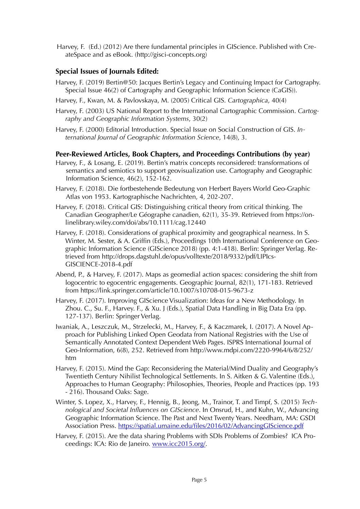Harvey, F. (Ed.) (2012) Are there fundamental principles in GIScience. Published with CreateSpace and as eBook. (http://gisci-concepts.org)

# **Special Issues of Journals Edited:**

- Harvey, F. (2019) Bertin@50: Jacques Bertin's Legacy and Continuing Impact for Cartography. Special Issue 46(2) of Cartography and Geographic Information Science (CaGIS)).
- Harvey, F., Kwan, M. & Pavlovskaya, M. (2005) Critical GIS. *Cartographica*, 40(4)
- Harvey, F. (2003) US National Report to the International Cartographic Commission. *Cartography and Geographic Information Systems*, 30(2)
- Harvey, F. (2000) Editorial Introduction. Special Issue on Social Construction of GIS. *International Journal of Geographic Information Science*, 14(8), 3.

# **Peer-Reviewed Articles, Book Chapters, and Proceedings Contributions (by year)**

- Harvey, F., & Losang, E. (2019). Bertin's matrix concepts reconsidered: transformations of semantics and semiotics to support geovisualization use. Cartography and Geographic Information Science, 46(2), 152-162.
- Harvey, F. (2018). Die fortbestehende Bedeutung von Herbert Bayers World Geo-Graphic Atlas von 1953. Kartographische Nachrichten, 4, 202-207.
- Harvey, F. (2018). Critical GIS: Distinguishing critical theory from critical thinking. The Canadian Geographer/Le Géographe canadien, 62(1), 35-39. Retrieved from https://onlinelibrary.wiley.com/doi/abs/10.1111/cag.12440
- Harvey, F. (2018). Considerations of graphical proximity and geographical nearness. In S. Winter, M. Sester, & A. Griffin (Eds.), Proceedings 10th International Conference on Geographic Information Science (GIScience 2018) (pp. 4:1-418). Berlin: Springer Verlag. Retrieved from http://drops.dagstuhl.de/opus/volltexte/2018/9332/pdf/LIPIcs-GISCIENCE-2018-4.pdf
- Abend, P., & Harvey, F. (2017). Maps as geomedial action spaces: considering the shift from logocentric to egocentric engagements. Geographic Journal, 82(1), 171-183. Retrieved from https://link.springer.com/article/10.1007/s10708-015-9673-z
- Harvey, F. (2017). Improving GIScience Visualization: Ideas for a New Methodology. In Zhou. C., Su. F., Harvey. F., & Xu. J (Eds.), Spatial Data Handling in Big Data Era (pp. 127-137). Berlin: Springer Verlag.
- Iwaniak, A., Leszczuk, M., Strzelecki, M., Harvey, F., & Kaczmarek, I. (2017). A Novel Approach for Publishing Linked Open Geodata from National Registries with the Use of Semantically Annotated Context Dependent Web Pages. ISPRS International Journal of Geo-Information, 6(8), 252. Retrieved from http://www.mdpi.com/2220-9964/6/8/252/ htm
- Harvey, F. (2015). Mind the Gap: Reconsidering the Material/Mind Duality and Geography's Twentieth Century Nihilist Technological Settlements. In S. Aitken & G. Valentine (Eds.), Approaches to Human Geography: Philosophies, Theories, People and Practices (pp. 193 - 216). Thousand Oaks: Sage.
- Winter, S. Lopez, X., Harvey, F., Hennig, B., Jeong, M., Trainor, T. and Timpf, S. (2015) *Technological and Societal Influences on GIScience*. In Onsrud, H., and Kuhn, W., Advancing Geographic Information Science. The Past and Next Twenty Years. Needham, MA: GSDI Association Press.<https://spatial.umaine.edu/files/2016/02/AdvancingGIScience.pdf>
- Harvey, F. (2015). Are the data sharing Problems with SDIs Problems of Zombies? ICA Proceedings: ICA: Rio de Janeiro. [www.icc2015.org/.](http://www.icc2015.org/)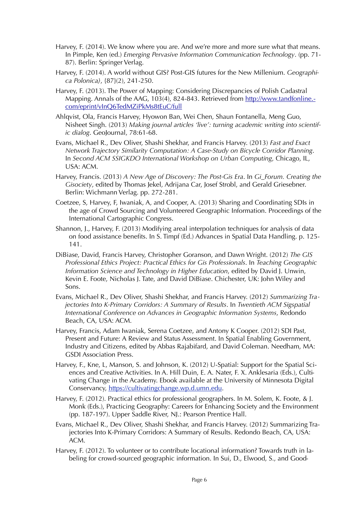- Harvey, F. (2014). We know where you are. And we're more and more sure what that means. In Pimple, Ken (ed.) *Emerging Pervasive Information Communication Technology*. (pp. 71- 87). Berlin: Springer Verlag.
- Harvey, F. (2014). A world without GIS? Post-GIS futures for the New Millenium. *Geographica Polonica}*, {87}(2), 241-250.
- Harvey, F. (2013). The Power of Mapping: Considering Discrepancies of Polish Cadastral Mapping. Annals of the AAG, 103(4), 824-843. Retrieved from [http://www.tandfonline.](http://www.tandfonline.com/eprint/vInQ6TedMZiPkMs8tEuC/full)[com/eprint/vInQ6TedMZiPkMs8tEuC/full](http://www.tandfonline.com/eprint/vInQ6TedMZiPkMs8tEuC/full)
- Ahlqvist, Ola, Francis Harvey, Hyowon Ban, Wei Chen, Shaun Fontanella, Meng Guo, Nisheet Singh. (2013) *Making journal articles 'live': turning academic writing into scientific dialog*. GeoJournal, 78:61-68.
- Evans, Michael R., Dev Oliver, Shashi Shekhar, and Francis Harvey. (2013) *Fast and Exact Network Trajectory Similarity Computation: A Case-Study on Bicycle Corridor Planning*. In *Second ACM SSIGKDO International Workshop on Urban Computing*, Chicago, IL, USA: ACM.
- Harvey, Francis. (2013) *A New Age of Discovery: The Post-Gis Era*. In *Gi\_Forum. Creating the Gisociety*, edited by Thomas Jekel, Adrijana Car, Josef Strobl, and Gerald Griesebner. Berlin: Wichmann Verlag. pp. 272-281.
- Coetzee, S, Harvey, F, Iwaniak, A, and Cooper, A. (2013) Sharing and Coordinating SDIs in the age of Crowd Sourcing and Volunteered Geographic Information. Proceedings of the International Cartographic Congress.
- Shannon, J., Harvey, F. (2013) Modifying areal interpolation techniques for analysis of data on food assistance benefits. In S. Timpf (Ed.) Advances in Spatial Data Handling. p. 125- 141.
- DiBiase, David, Francis Harvey, Christopher Goranson, and Dawn Wright. (2012) *The GIS Professional Ethics Project: Practical Ethics for Gis Professionals*. In *Teaching Geographic Information Science and Technology in Higher Education*, edited by David J. Unwin, Kevin E. Foote, Nicholas J. Tate, and David DiBiase. Chichester, UK: John Wiley and Sons.
- Evans, Michael R., Dev Oliver, Shashi Shekhar, and Francis Harvey. (2012) *Summarizing Trajectories Into K-Primary Corridors: A Summary of Results*. In *Twentieth ACM Sigspatial International Conference on Advances in Geographic Information Systems*, Redondo Beach, CA, USA: ACM.
- Harvey, Francis, Adam Iwaniak, Serena Coetzee, and Antony K Cooper. (2012) SDI Past, Present and Future: A Review and Status Assessment. In Spatial Enabling Government, Industry and Citizens, edited by Abbas Rajabifard, and David Coleman. Needham, MA: GSDI Association Press.
- Harvey, F., Kne, L, Manson, S. and Johnson, K. (2012) U-Spatial: Support for the Spatial Sciences and Creative Activities. In A. Hill Duin, E. A. Nater, F. X. Anklesaria (Eds.), Cultivating Change in the Academy. Ebook available at the University of Minnesota Digital Conservancy,<https://cultivatingchange.wp.d.umn.edu>.
- Harvey, F. (2012). Practical ethics for professional geographers. In M. Solem, K. Foote, & J. Monk (Eds.), Practicing Geography: Careers for Enhancing Society and the Environment (pp. 187-197). Upper Saddle River, NJ.: Pearson Prentice Hall.
- Evans, Michael R., Dev Oliver, Shashi Shekhar, and Francis Harvey. (2012) Summarizing Trajectories Into K-Primary Corridors: A Summary of Results. Redondo Beach, CA, USA: ACM.
- Harvey, F. (2012). To volunteer or to contribute locational information? Towards truth in labeling for crowd-sourced geographic information. In Sui, D., Elwood, S., and Good-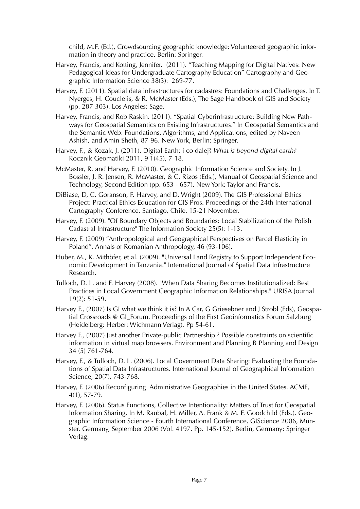child, M.F. (Ed.), Crowdsourcing geographic knowledge: Volunteered geographic information in theory and practice. Berlin: Springer.

- Harvey, Francis, and Kotting, Jennifer. (2011). "Teaching Mapping for Digital Natives: New Pedagogical Ideas for Undergraduate Cartography Education" Cartography and Geographic Information Science 38(3): 269-77.
- Harvey, F. (2011). Spatial data infrastructures for cadastres: Foundations and Challenges. In T. Nyerges, H. Couclelis, & R. McMaster (Eds.), The Sage Handbook of GIS and Society (pp. 287-303). Los Angeles: Sage.
- Harvey, Francis, and Rob Raskin. (2011). "Spatial Cyberinfrastructure: Building New Pathways for Geospatial Semantics on Existing Infrastructures." In Geospatial Semantics and the Semantic Web: Foundations, Algorithms, and Applications, edited by Naveen Ashish, and Amin Sheth, 87-96. New York, Berlin: Springer.
- Harvey, F., & Kozak, J. (2011). Digital Earth: i co dalej? *What is beyond digital earth?* Rocznik Geomatiki 2011, 9 1(45), 7-18.
- McMaster, R. and Harvey, F. (2010). Geographic Information Science and Society. In J. Bossler, J. R. Jensen, R. McMaster, & C. Rizos (Eds.), Manual of Geospatial Science and Technology, Second Edition (pp. 653 - 657). New York: Taylor and Francis.
- DiBiase, D, C. Goranson, F. Harvey, and D. Wright (2009). The GIS Professional Ethics Project: Practical Ethics Education for GIS Pros. Proceedings of the 24th International Cartography Conference. Santiago, Chile, 15-21 November.
- Harvey, F. (2009). "Of Boundary Objects and Boundaries: Local Stabilization of the Polish Cadastral Infrastructure" The Information Society 25(5): 1-13.
- Harvey, F. (2009) "Anthropological and Geographical Perspectives on Parcel Elasticity in Poland", Annals of Romanian Anthropology, 46 (93-106).
- Huber, M., K. Mithöfer, et al. (2009). "Universal Land Registry to Support Independent Economic Development in Tanzania." International Journal of Spatial Data Infrastructure Research.
- Tulloch, D. L. and F. Harvey (2008). "When Data Sharing Becomes Institutionalized: Best Practices in Local Government Geographic Information Relationships." URISA Journal 19(2): 51-59.
- Harvey F., (2007) Is GI what we think it is? In A Car, G Griesebner and J Strobl (Eds), Geospatial Crossroads @ GI\_Forum. Proceedings of the First Geoinformatics Forum Salzburg (Heidelberg: Herbert Wichmann Verlag), Pp 54-61.
- Harvey F., (2007) Just another Private-public Partnership ? Possible constraints on scientific information in virtual map browsers. Environment and Planning B Planning and Design 34 (5) 761-764.
- Harvey, F., & Tulloch, D. L. (2006). Local Government Data Sharing: Evaluating the Foundations of Spatial Data Infrastructures. International Journal of Geographical Information Science, 20(7), 743-768.
- Harvey, F. (2006) Reconfiguring Administrative Geographies in the United States. ACME, 4(1), 57-79.
- Harvey, F. (2006). Status Functions, Collective Intentionality: Matters of Trust for Geospatial Information Sharing. In M. Raubal, H. Miller, A. Frank & M. F. Goodchild (Eds.), Geographic Information Science - Fourth International Conference, GIScience 2006, Münster, Germany, September 2006 (Vol. 4197, Pp. 145-152). Berlin, Germany: Springer Verlag.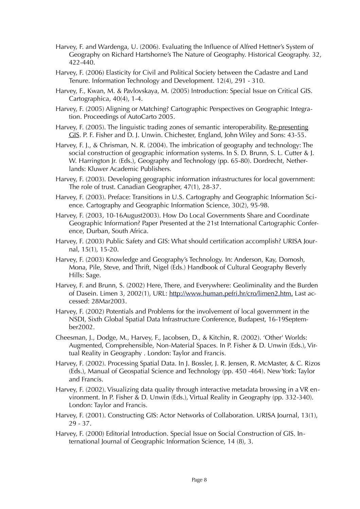- Harvey, F. and Wardenga, U. (2006). Evaluating the Influence of Alfred Hettner's System of Geography on Richard Hartshorne's The Nature of Geography. Historical Geography. 32, 422-440.
- Harvey, F. (2006) Elasticity for Civil and Political Society between the Cadastre and Land Tenure. Information Technology and Development. 12(4), 291 - 310.
- Harvey, F., Kwan, M. & Pavlovskaya, M. (2005) Introduction: Special Issue on Critical GIS. Cartographica, 40(4), 1-4.
- Harvey, F. (2005) Aligning or Matching? Cartographic Perspectives on Geographic Integration. Proceedings of AutoCarto 2005.
- Harvey, F. (2005). The linguistic trading zones of semantic interoperability. Re-presenting GIS. P. F. Fisher and D. J. Unwin. Chichester, England, John Wiley and Sons: 43-55.
- Harvey, F. J., & Chrisman, N. R. (2004). The imbrication of geography and technology: The social construction of geographic information systems. In S. D. Brunn, S. L. Cutter & J. W. Harrington Jr. (Eds.), Geography and Technology (pp. 65-80). Dordrecht, Netherlands: Kluwer Academic Publishers.
- Harvey, F. (2003). Developing geographic information infrastructures for local government: The role of trust. Canadian Geographer, 47(1), 28-37.
- Harvey, F. (2003). Preface: Transitions in U.S. Cartography and Geographic Information Science. Cartography and Geographic Information Science, 30(2), 95-98.
- Harvey, F. (2003, 10-16August2003). How Do Local Governments Share and Coordinate Geographic Information? Paper Presented at the 21st International Cartographic Conference, Durban, South Africa.
- Harvey, F. (2003) Public Safety and GIS: What should certification accomplish? URISA Journal, 15(1), 15-20.
- Harvey, F. (2003) Knowledge and Geography's Technology. In: Anderson, Kay, Domosh, Mona, Pile, Steve, and Thrift, Nigel (Eds.) Handbook of Cultural Geography Beverly Hills: Sage.
- Harvey, F. and Brunn, S. (2002) Here, There, and Everywhere: Geoliminality and the Burden of Dasein. Limen 3, 2002(1), URL:<http://www.human.pefri.hr/cro/limen2.htm>. Last accessed: 28Mar2003.
- Harvey, F. (2002) Potentials and Problems for the involvement of local government in the NSDI, Sixth Global Spatial Data Infrastructure Conference, Budapest, 16-19September2002.
- Cheesman, J., Dodge, M., Harvey, F., Jacobsen, D., & Kitchin, R. (2002). 'Other' Worlds: Augmented, Comprehensible, Non-Material Spaces. In P. Fisher & D. Unwin (Eds.), Virtual Reality in Geography . London: Taylor and Francis.
- Harvey, F. (2002). Processing Spatial Data. In J. Bossler, J. R. Jensen, R. McMaster, & C. Rizos (Eds.), Manual of Geospatial Science and Technology (pp. 450 -464). New York: Taylor and Francis.
- Harvey, F. (2002). Visualizing data quality through interactive metadata browsing in a VR environment. In P. Fisher & D. Unwin (Eds.), Virtual Reality in Geography (pp. 332-340). London: Taylor and Francis.
- Harvey, F. (2001). Constructing GIS: Actor Networks of Collaboration. URISA Journal, 13(1), 29 - 37.
- Harvey, F. (2000) Editorial Introduction. Special Issue on Social Construction of GIS. International Journal of Geographic Information Science, 14 (8), 3.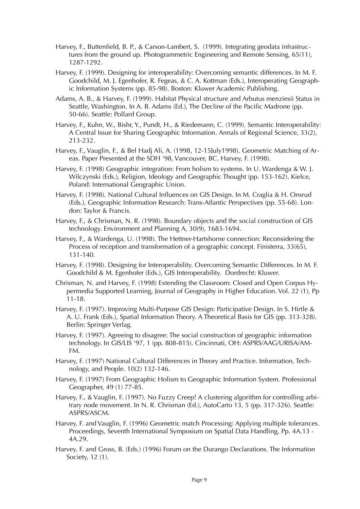- Harvey, F., Buttenfield, B. P., & Carson-Lambert, S. (1999). Integrating geodata infrastructures from the ground up. Photogrammetric Engineering and Remote Sensing, 65(11), 1287-1292.
- Harvey, F. (1999). Designing for interoperability: Overcoming semantic differences. In M. F. Goodchild, M. J. Egenhofer, R. Fegeas, & C. A. Kottman (Eds.), Interoperating Geographic Information Systems (pp. 85-98). Boston: Kluwer Academic Publishing.
- Adams, A. B., & Harvey, F. (1999). Habitat Physical structure and Arbutus menziesii Status in Seattle, Washington. In A. B. Adams (Ed.), The Decline of the Pacific Madrone (pp. 50-66). Seattle: Pollard Group.
- Harvey, F., Kuhn, W., Bishr, Y., Pundt, H., & Riedemann, C. (1999). Semantic Interoperability: A Central Issue for Sharing Geographic Information. Annals of Regional Science, 33(2), 213-232.
- Harvey, F., Vauglin, F., & Bel Hadj Ali, A. (1998, 12-15July1998). Geometric Matching of Areas. Paper Presented at the SDH '98, Vancouver, BC. Harvey, F. (1998).
- Harvey, F. (1998) Geographic integration: From holism to systems. In U. Wardenga & W. J. Wilczynski (Eds.), Religion, Ideology and Geographic Thought (pp. 153-162). Kielce, Poland: International Geographic Union.
- Harvey, F. (1998). National Cultural Influences on GIS Design. In M. Craglia & H. Onsrud (Eds.), Geographic Information Research: Trans-Atlantic Perspectives (pp. 55-68). London: Taylor & Francis.
- Harvey, F., & Chrisman, N. R. (1998). Boundary objects and the social construction of GIS technology. Environment and Planning A, 30(9), 1683-1694.
- Harvey, F., & Wardenga, U. (1998). The Hettner-Hartshorne connection: Reconsidering the Process of reception and transformation of a geographic concept. Finisterra, 33(65), 131-140.
- Harvey, F. (1998). Designing for Interoperability. Overcoming Semantic Differences. In M. F. Goodchild & M. Egenhofer (Eds.), GIS Interoperability. Dordrecht: Kluwer.
- Chrisman, N. and Harvey, F. (1998) Extending the Classroom: Closed and Open Corpus Hypermedia Supported Learning, Journal of Geography in Higher Education. Vol. 22 (1), Pp 11-18.
- Harvey, F. (1997). Improving Multi-Purpose GIS Design: Participative Design. In S. Hirtle & A. U. Frank (Eds.), Spatial Information Theory. A Theoretical Basis for GIS (pp. 313-328). Berlin: Springer Verlag.
- Harvey, F. (1997). Agreeing to disagree: The social construction of geographic information technology. In GIS/LIS '97, 1 (pp. 808-815). Cincinnati, OH: ASPRS/AAG/URISA/AM-FM.
- Harvey, F. (1997) National Cultural Differences in Theory and Practice. Information, Technology, and People. 10(2) 132-146.
- Harvey, F. (1997) From Geographic Holism to Geographic Information System. Professional Geographer, 49 (1) 77-85.
- Harvey, F., & Vauglin, F. (1997). No Fuzzy Creep! A clustering algorithm for controlling arbitrary node movement. In N. R. Chrisman (Ed.), AutoCarto 13, 5 (pp. 317-326). Seattle: ASPRS/ASCM.
- Harvey, F. and Vauglin, F. (1996) Geometric match Processing: Applying multiple tolerances. Proceedings, Seventh International Symposium on Spatial Data Handling, Pp. 4A.13 - 4A.29.
- Harvey, F. and Gross, B. (Eds.) (1996) Forum on the Durango Declarations. The Information Society, 12 (1).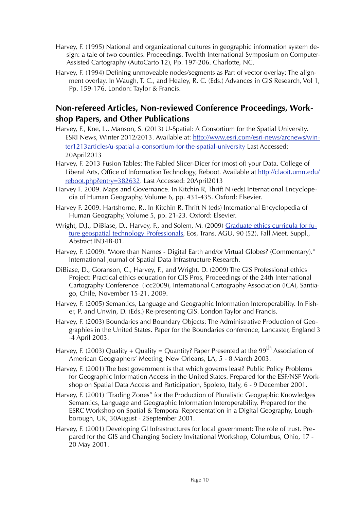- Harvey, F. (1995) National and organizational cultures in geographic information system design: a tale of two counties. Proceedings, Twelfth International Symposium on Computer-Assisted Cartography (AutoCarto 12), Pp. 197-206. Charlotte, NC.
- Harvey, F. (1994) Defining unmoveable nodes/segments as Part of vector overlay: The alignment overlay. In Waugh, T. C., and Healey, R. C. (Eds.) Advances in GIS Research, Vol 1, Pp. 159-176. London: Taylor & Francis.

# **Non-refereed Articles, Non-reviewed Conference Proceedings, Workshop Papers, and Other Publications**

- Harvey, F., Kne, L., Manson, S. (2013) U-Spatial: A Consortium for the Spatial University. [ESRI News, Winter 2012/2013. Available at: http://www.esri.com/esri-news/arcnews/win](http://www.esri.com/esri-news/arcnews/winter1213articles/u-spatial-a-consortium-for-the-spatial-university)[ter1213articles/u-spatial-a-consortium-for-the-spatial-university](http://www.esri.com/esri-news/arcnews/winter1213articles/u-spatial-a-consortium-for-the-spatial-university) Last Accessed: 20April2013
- Harvey, F. 2013 Fusion Tables: The Fabled Slicer-Dicer for (most of) your Data. College of Liberal Arts, Office of Information Technology, Reboot. Available at [http://claoit.umn.edu/](http://claoit.umn.edu/reboot.php?entry=382632) [reboot.php?entry=382632](http://claoit.umn.edu/reboot.php?entry=382632). Last Accessed: 20April2013
- Harvey F. 2009. Maps and Governance. In Kitchin R, Thrift N (eds) International Encyclopedia of Human Geography, Volume 6, pp. 431-435. Oxford: Elsevier.
- Harvey F. 2009. Hartshorne, R.. In Kitchin R, Thrift N (eds) International Encyclopedia of Human Geography, Volume 5, pp. 21-23. Oxford: Elsevier.
- Wright, D.J., DiBiase, D., Harvey, F., and Solem, M. (2009) [Graduate ethics curricula for fu](http://dusk.geo.orst.edu/agu09_ethics.html)[ture geospatial technology Professionals](http://dusk.geo.orst.edu/agu09_ethics.html), Eos, Trans. AGU, 90 (52), Fall Meet. Suppl., Abstract IN34B-01.
- Harvey, F. (2009). "More than Names Digital Earth and/or Virtual Globes? (Commentary)." International Journal of Spatial Data Infrastructure Research.
- DiBiase, D., Goranson, C., Harvey, F., and Wright, D. (2009) The GIS Professional ethics Project: Practical ethics education for GIS Pros, Proceedings of the 24th International Cartography Conference (icc2009), International Cartography Association (ICA), Santiago, Chile, November 15-21, 2009.
- Harvey, F. (2005) Semantics, Language and Geographic Information Interoperability. In Fisher, P. and Unwin, D. (Eds.) Re-presenting GIS. London Taylor and Francis.
- Harvey, F. (2003) Boundaries and Boundary Objects: The Administrative Production of Geographies in the United States. Paper for the Boundaries conference, Lancaster, England 3 -4 April 2003.
- Harvey, F. (2003) Quality + Quality = Quantity? Paper Presented at the 99<sup>th</sup> Association of American Geographers' Meeting, New Orleans, LA, 5 - 8 March 2003.
- Harvey, F. (2001) The best government is that which governs least? Public Policy Problems for Geographic Information Access in the United States. Prepared for the ESF/NSF Workshop on Spatial Data Access and Participation, Spoleto, Italy, 6 - 9 December 2001.
- Harvey, F. (2001) "Trading Zones" for the Production of Pluralistic Geographic Knowledges Semantics, Language and Geographic Information Interoperability. Prepared for the ESRC Workshop on Spatial & Temporal Representation in a Digital Geography, Loughborough, UK, 30August - 2September 2001.
- Harvey, F. (2001) Developing GI Infrastructures for local government: The role of trust. Prepared for the GIS and Changing Society Invitational Workshop, Columbus, Ohio, 17 - 20 May 2001.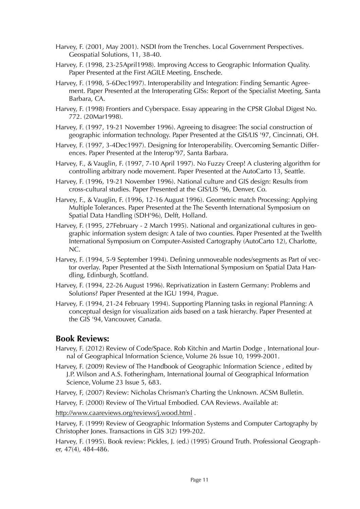- Harvey, F. (2001, May 2001). NSDI from the Trenches. Local Government Perspectives. Geospatial Solutions, 11, 38-40.
- Harvey, F. (1998, 23-25April1998). Improving Access to Geographic Information Quality. Paper Presented at the First AGILE Meeting, Enschede.
- Harvey, F. (1998, 5-6Dec1997). Interoperability and Integration: Finding Semantic Agreement. Paper Presented at the Interoperating GISs: Report of the Specialist Meeting, Santa Barbara, CA.
- Harvey, F. (1998) Frontiers and Cyberspace. Essay appearing in the CPSR Global Digest No. 772. (20Mar1998).
- Harvey, F. (1997, 19-21 November 1996). Agreeing to disagree: The social construction of geographic information technology. Paper Presented at the GIS/LIS '97, Cincinnati, OH.
- Harvey, F. (1997, 3-4Dec1997). Designing for Interoperability. Overcoming Semantic Differences. Paper Presented at the Interop'97, Santa Barbara.
- Harvey, F., & Vauglin, F. (1997, 7-10 April 1997). No Fuzzy Creep! A clustering algorithm for controlling arbitrary node movement. Paper Presented at the AutoCarto 13, Seattle.
- Harvey, F. (1996, 19-21 November 1996). National culture and GIS design: Results from cross-cultural studies. Paper Presented at the GIS/LIS '96, Denver, Co.
- Harvey, F., & Vauglin, F. (1996, 12-16 August 1996). Geometric match Processing: Applying Multiple Tolerances. Paper Presented at the The Seventh International Symposium on Spatial Data Handling (SDH'96), Delft, Holland.
- Harvey, F. (1995, 27February 2 March 1995). National and organizational cultures in geographic information system design: A tale of two counties. Paper Presented at the Twelfth International Symposium on Computer-Assisted Cartography (AutoCarto 12), Charlotte, NC.
- Harvey, F. (1994, 5-9 September 1994). Defining unmoveable nodes/segments as Part of vector overlay. Paper Presented at the Sixth International Symposium on Spatial Data Handling, Edinburgh, Scottland.
- Harvey, F. (1994, 22-26 August 1996). Reprivatization in Eastern Germany: Problems and Solutions? Paper Presented at the IGU 1994, Prague.
- Harvey, F. (1994, 21-24 February 1994). Supporting Planning tasks in regional Planning: A conceptual design for visualization aids based on a task hierarchy. Paper Presented at the GIS '94, Vancouver, Canada.

# **Book Reviews:**

- Harvey, F. (2012) Review of Code/Space. Rob Kitchin and Martin Dodge , International Journal of Geographical Information Science, Volume 26 Issue 10, 1999-2001.
- Harvey, F. (2009) Review of The Handbook of Geographic Information Science , edited by J.P. Wilson and A.S. Fotheringham, International Journal of Geographical Information Science, Volume 23 Issue 5, 683.

Harvey, F, (2007) Review: Nicholas Chrisman's Charting the Unknown. ACSM Bulletin.

Harvey, F. (2000) Review of The Virtual Embodied. CAA Reviews. Available at:

<http://www.caareviews.org/reviews/j.wood.html>.

Harvey, F. (1999) Review of Geographic Information Systems and Computer Cartography by Christopher Jones. Transactions in GIS 3(2) 199-202.

Harvey, F. (1995). Book review: Pickles, J. (ed.) (1995) Ground Truth. Professional Geographer, 47(4), 484-486.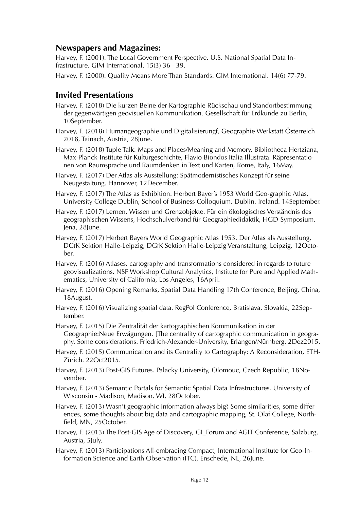# **Newspapers and Magazines:**

Harvey, F. (2001). The Local Government Perspective. U.S. National Spatial Data Infrastructure. GIM International. 15(3) 36 - 39.

Harvey, F. (2000). Quality Means More Than Standards. GIM International. 14(6) 77-79.

# **Invited Presentations**

- Harvey, F. (2018) Die kurzen Beine der Kartographie Rückschau und Standortbestimmung der gegenwärtigen geovisuellen Kommunikation. Gesellschaft für Erdkunde zu Berlin, 10September.
- Harvey, F. (2018) Humangeographie und Digitalisierungf, Geographie Werkstatt Österreich 2018, Tainach, Austria, 28June.
- Harvey, F. (2018) Tuple Talk: Maps and Places/Meaning and Memory. Bibliotheca Hertziana, Max-Planck-Institute für Kulturgeschichte, Flavio Biondos Italia Illustrata. Räpresentationen von Raumsprache und Raumdenken in Text und Karten, Rome, Italy, 16May.
- Harvey, F. (2017) Der Atlas als Ausstellung: Spätmodernistisches Konzept für seine Neugestaltung. Hannover, 12December.
- Harvey, F. (2017) The Atlas as Exhibition. Herbert Bayer's 1953 World Geo-graphic Atlas, University College Dublin, School of Business Colloquium, Dublin, Ireland. 14September.
- Harvey, F. (2017) Lernen, Wissen und Grenzobjekte. Für ein ökologisches Verständnis des geographischen Wissens, Hochschulverband für Geographiedidaktik, HGD-Symposium, Jena, 28June.
- Harvey, F. (2017) Herbert Bayers World Geographic Atlas 1953. Der Atlas als Ausstellung, DGfK Sektion Halle-Leipzig, DGfK Sektion Halle-Leipzig Veranstaltung, Leipzig, 12October.
- Harvey, F. (2016) Atlases, cartography and transformations considered in regards to future geovisualizations. NSF Workshop Cultural Analytics, Institute for Pure and Applied Mathematics, University of California, Los Angeles, 16April.
- Harvey, F. (2016) Opening Remarks, Spatial Data Handling 17th Conference, Beijing, China, 18August.
- Harvey, F. (2016) Visualizing spatial data. RegPol Conference, Bratislava, Slovakia, 22September.
- Harvey, F. (2015) Die Zentralität der kartographischen Kommunikation in der Geographie:Neue Erwägungen. [The centrality of cartographic communication in geography. Some considerations. Friedrich-Alexander-University, Erlangen/Nürnberg. 2Dez2015.
- Harvey, F. (2015) Communication and its Centrality to Cartography: A Reconsideration, ETH-Zürich. 22Oct2015.
- Harvey, F. (2013) Post-GIS Futures. Palacky University, Olomouc, Czech Republic, 18November.
- Harvey, F. (2013) Semantic Portals for Semantic Spatial Data Infrastructures. University of Wisconsin - Madison, Madison, WI, 28October.
- Harvey, F. (2013) Wasn't geographic information always big? Some similarities, some differences, some thoughts about big data and cartographic mapping, St. Olaf College, Northfield, MN, 25October.
- Harvey, F. (2013) The Post-GIS Age of Discovery, GI\_Forum and AGIT Conference, Salzburg, Austria, 5July.

Harvey, F. (2013) Participations All-embracing Compact, International Institute for Geo-Information Science and Earth Observation (ITC), Enschede, NL, 26June.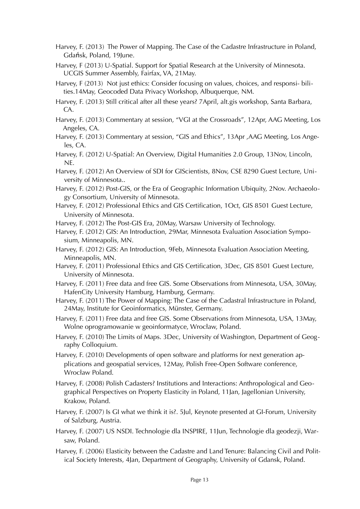Harvey, F. (2013) The Power of Mapping. The Case of the Cadastre Infrastructure in Poland, Gdańsk, Poland, 19June.

- Harvey, F (2013) U-Spatial. Support for Spatial Research at the University of Minnesota. UCGIS Summer Assembly, Fairfax, VA, 21May.
- Harvey, F (2013) Not just ethics: Consider focusing on values, choices, and responsi- bilities.14May, Geocoded Data Privacy Workshop, Albuquerque, NM.
- Harvey, F. (2013) Still critical after all these years? 7April, alt.gis workshop, Santa Barbara, CA.
- Harvey, F. (2013) Commentary at session, "VGI at the Crossroads", 12Apr, AAG Meeting, Los Angeles, CA.
- Harvey, F. (2013) Commentary at session, "GIS and Ethics", 13Apr , AAG Meeting, Los Angeles, CA.
- Harvey, F. (2012) U-Spatial: An Overview, Digital Humanities 2.0 Group, 13Nov, Lincoln, NE.
- Harvey, F. (2012) An Overview of SDI for GIScientists, 8Nov, CSE 8290 Guest Lecture, University of Minnesota..
- Harvey, F. (2012) Post-GIS, or the Era of Geographic Information Ubiquity, 2Nov. Archaeology Consortium, University of Minnesota.
- Harvey, F. (2012) Professional Ethics and GIS Certification, 1Oct, GIS 8501 Guest Lecture, University of Minnesota.
- Harvey, F. (2012) The Post-GIS Era, 20May, Warsaw University of Technology.
- Harvey, F. (2012) GIS: An Introduction, 29Mar, Minnesota Evaluation Association Symposium, Minneapolis, MN.
- Harvey, F. (2012) GIS: An Introduction, 9Feb, Minnesota Evaluation Association Meeting, Minneapolis, MN.
- Harvey, F. (2011) Professional Ethics and GIS Certification, 3Dec, GIS 8501 Guest Lecture, University of Minnesota.
- Harvey, F. (2011) Free data and free GIS. Some Observations from Minnesota, USA, 30May, HafenCity University Hamburg, Hamburg, Germany.
- Harvey, F. (2011) The Power of Mapping: The Case of the Cadastral Infrastructure in Poland, 24May, Institute for Geoinformatics, Münster, Germany.
- Harvey, F. (2011) Free data and free GIS. Some Observations from Minnesota, USA, 13May, Wolne oprogramowanie w geoinformatyce, Wrocław, Poland.
- Harvey, F. (2010) The Limits of Maps. 3Dec, University of Washington, Department of Geography Colloquium.
- Harvey, F. (2010) Developments of open software and platforms for next generation applications and geospatial services, 12May, Polish Free-Open Software conference, Wrocław Poland.
- Harvey, F. (2008) Polish Cadasters? Institutions and Interactions: Anthropological and Geographical Perspectives on Property Elasticity in Poland, 11Jan, Jagellonian University, Krakow, Poland.
- Harvey, F. (2007) Is GI what we think it is?. 5Jul, Keynote presented at GI-Forum, University of Salzburg, Austria.
- Harvey, F. (2007) US NSDI. Technologie dla INSPIRE, 11Jun, Technologie dla geodezji, Warsaw, Poland.
- Harvey, F. (2006) Elasticity between the Cadastre and Land Tenure: Balancing Civil and Political Society Interests, 4Jan, Department of Geography, University of Gdansk, Poland.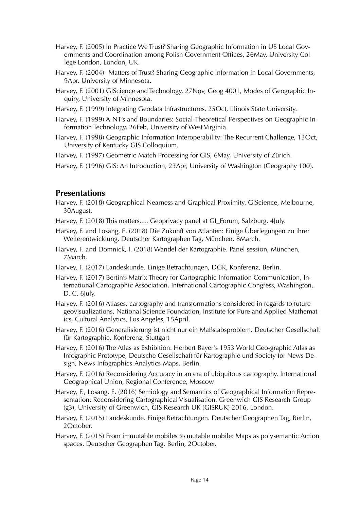- Harvey, F. (2005) In Practice We Trust? Sharing Geographic Information in US Local Governments and Coordination among Polish Government Offices, 26May, University College London, London, UK.
- Harvey, F. (2004) Matters of Trust? Sharing Geographic Information in Local Governments, 9Apr. University of Minnesota.
- Harvey, F. (2001) GIScience and Technology, 27Nov, Geog 4001, Modes of Geographic Inquiry, University of Minnesota.
- Harvey, F. (1999) Integrating Geodata Infrastructures, 25Oct, Illinois State University.
- Harvey, F. (1999) A-NT's and Boundaries: Social-Theoretical Perspectives on Geographic Information Technology, 26Feb, University of West Virginia.
- Harvey, F. (1998) Geographic Information Interoperability: The Recurrent Challenge, 13Oct, University of Kentucky GIS Colloquium.
- Harvey, F. (1997) Geometric Match Processing for GIS, 6May, University of Zürich.

Harvey, F. (1996) GIS: An Introduction, 23Apr, University of Washington (Geography 100).

# **Presentations**

- Harvey, F. (2018) Geographical Nearness and Graphical Proximity. GIScience, Melbourne, 30August.
- Harvey, F. (2018) This matters…. Geoprivacy panel at GI\_Forum, Salzburg, 4July.
- Harvey, F. and Losang, E. (2018) Die Zukunft von Atlanten: Einige Überlegungen zu ihrer Weiterentwicklung. Deutscher Kartographen Tag, München, 8March.
- Harvey, F. and Domnick, I. (2018) Wandel der Kartographie. Panel session, München, 7March.
- Harvey, F. (2017) Landeskunde. Einige Betrachtungen, DGK, Konferenz, Berlin.
- Harvey, F. (2017) Bertin's Matrix Theory for Cartographic Information Communication, International Cartographic Association, International Cartographic Congress, Washington, D. C. 6July.
- Harvey, F. (2016) Atlases, cartography and transformations considered in regards to future geovisualizations, National Science Foundation, Institute for Pure and Applied Mathematics, Cultural Analytics, Los Angeles, 15April.
- Harvey, F. (2016) Generalisierung ist nicht nur ein Maßstabsproblem. Deutscher Gesellschaft für Kartographie, Konferenz, Stuttgart
- Harvey, F. (2016) The Atlas as Exhibition. Herbert Bayer's 1953 World Geo-graphic Atlas as Infographic Prototype, Deutsche Gesellschaft für Kartographie und Society for News Design, News-Infographics-Analytics-Maps, Berlin.
- Harvey, F. (2016) Reconsidering Accuracy in an era of ubiquitous cartography, International Geographical Union, Regional Conference, Moscow
- Harvey, F., Losang, E. (2016) Semiology and Semantics of Geographical Information Representation: Reconsidering Cartographical Visualisation, Greenwich GIS Research Group (g3), University of Greenwich, GIS Research UK (GISRUK) 2016, London.
- Harvey, F. (2015) Landeskunde. Einige Betrachtungen. Deutscher Geographen Tag, Berlin, 2October.
- Harvey, F. (2015) From immutable mobiles to mutable mobile: Maps as polysemantic Action spaces. Deutscher Geographen Tag, Berlin, 2October.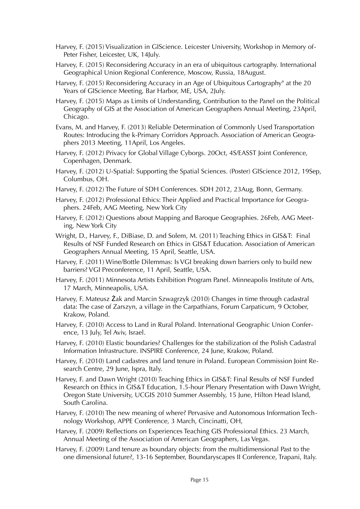- Harvey, F. (2015) Visualization in GIScience. Leicester University, Workshop in Memory of-Peter Fisher, Leicester, UK, 14July.
- Harvey, F. (2015) Reconsidering Accuracy in an era of ubiquitous cartography. International Geographical Union Regional Conference, Moscow, Russia, 18August.
- Harvey, F. (2015) Reconsidering Accuracy in an Age of Ubiquitous Cartography" at the 20 Years of GIScience Meeting, Bar Harbor, ME, USA, 2July.
- Harvey, F. (2015) Maps as Limits of Understanding, Contribution to the Panel on the Political Geography of GIS at the Association of American Geographers Annual Meeting, 23April, Chicago.
- Evans, M. and Harvey, F. (2013) Reliable Determination of Commonly Used Transportation Routes: Introducing the k-Primary Corridors Approach. Association of American Geographers 2013 Meeting, 11April, Los Angeles.
- Harvey, F. (2012) Privacy for Global Village Cyborgs. 20Oct, 4S/EASST Joint Conference, Copenhagen, Denmark.
- Harvey, F. (2012) U-Spatial: Supporting the Spatial Sciences. (Poster) GIScience 2012, 19Sep, Columbus, OH.
- Harvey, F. (2012) The Future of SDH Conferences. SDH 2012, 23Aug, Bonn, Germany.
- Harvey, F. (2012) Professional Ethics: Their Applied and Practical Importance for Geographers. 24Feb, AAG Meeting, New York City
- Harvey, F. (2012) Questions about Mapping and Baroque Geographies. 26Feb, AAG Meeting, New York City
- Wright, D., Harvey, F., DiBiase, D. and Solem, M. (2011) Teaching Ethics in GIS&T: Final Results of NSF Funded Research on Ethics in GIS&T Education. Association of American Geographers Annual Meeting, 15 April, Seattle, USA.
- Harvey, F. (2011) Wine/Bottle Dilemmas: Is VGI breaking down barriers only to build new barriers? VGI Preconference, 11 April, Seattle, USA.
- Harvey, F. (2011) Minnesota Artists Exhibition Program Panel. Minneapolis Institute of Arts, 17 March, Minneapolis, USA.
- Harvey, F. Mateusz Żak and Marcin Szwagrzyk (2010) Changes in time through cadastral data: The case of Zarszyn, a village in the Carpathians, Forum Carpaticum, 9 October, Krakow, Poland.
- Harvey, F. (2010) Access to Land in Rural Poland. International Geographic Union Conference, 13 July, Tel Aviv, Israel.
- Harvey, F. (2010) Elastic boundaries? Challenges for the stabilization of the Polish Cadastral Information Infrastructure. INSPIRE Conference, 24 June, Krakow, Poland.
- Harvey, F. (2010) Land cadastres and land tenure in Poland. European Commission Joint Research Centre, 29 June, Ispra, Italy.
- Harvey, F. and Dawn Wright (2010) Teaching Ethics in GIS&T: Final Results of NSF Funded Research on Ethics in GIS&T Education, 1.5-hour Plenary Presentation with Dawn Wright, Oregon State University, UCGIS 2010 Summer Assembly, 15 June, Hilton Head Island, South Carolina.
- Harvey, F. (2010) The new meaning of where? Pervasive and Autonomous Information Technology Workshop, APPE Conference, 3 March, Cincinatti, OH,
- Harvey, F. (2009) Reflections on Experiences Teaching GIS Professional Ethics. 23 March, Annual Meeting of the Association of American Geographers, Las Vegas.
- Harvey, F. (2009) Land tenure as boundary objects: from the multidimensional Past to the one dimensional future?, 13-16 September, Boundaryscapes II Conference, Trapani, Italy.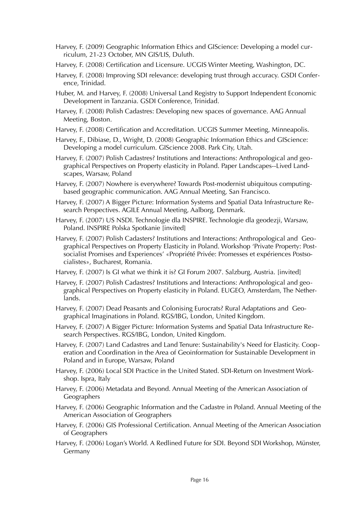- Harvey, F. (2009) Geographic Information Ethics and GIScience: Developing a model curriculum, 21-23 October, MN GIS/LIS, Duluth.
- Harvey, F. (2008) Certification and Licensure. UCGIS Winter Meeting, Washington, DC.
- Harvey, F. (2008) Improving SDI relevance: developing trust through accuracy. GSDI Conference, Trinidad.
- Huber, M. and Harvey, F. (2008) Universal Land Registry to Support Independent Economic Development in Tanzania. GSDI Conference, Trinidad.
- Harvey, F. (2008) Polish Cadastres: Developing new spaces of governance. AAG Annual Meeting, Boston.
- Harvey, F. (2008) Certification and Accreditation. UCGIS Summer Meeting, Minneapolis.
- Harvey, F., Dibiase, D., Wright, D. (2008) Geographic Information Ethics and GIScience: Developing a model curriculum. GIScience 2008. Park City, Utah.
- Harvey, F. (2007) Polish Cadastres? Institutions and Interactions: Anthropological and geographical Perspectives on Property elasticity in Poland. Paper Landscapes--Lived Landscapes, Warsaw, Poland
- Harvey, F. (2007) Nowhere is everywhere? Towards Post-modernist ubiquitous computingbased geographic communication. AAG Annual Meeting, San Francisco.
- Harvey, F. (2007) A Bigger Picture: Information Systems and Spatial Data Infrastructure Research Perspectives. AGILE Annual Meeting, Aalborg, Denmark.
- Harvey, F. (2007) US NSDI. Technologie dla INSPIRE. Technologie dla geodezji, Warsaw, Poland. INSPIRE Polska Spotkanie [invited]
- Harvey, F. (2007) Polish Cadasters? Institutions and Interactions: Anthropological and Geographical Perspectives on Property Elasticity in Poland. Workshop 'Private Property: Postsocialist Promises and Experiences' «Propriété Privée: Promesses et expériences Postsocialistes», Bucharest, Romania.
- Harvey, F. (2007) Is GI what we think it is? GI Forum 2007. Salzburg, Austria. [invited]
- Harvey, F. (2007) Polish Cadastres? Institutions and Interactions: Anthropological and geographical Perspectives on Property elasticity in Poland. EUGEO, Amsterdam, The Netherlands.
- Harvey, F. (2007) Dead Peasants and Colonising Eurocrats? Rural Adaptations and Geographical Imaginations in Poland. RGS/IBG, London, United Kingdom.
- Harvey, F. (2007) A Bigger Picture: Information Systems and Spatial Data Infrastructure Research Perspectives. RGS/IBG, London, United Kingdom.
- Harvey, F. (2007) Land Cadastres and Land Tenure: Sustainability's Need for Elasticity. Cooperation and Coordination in the Area of Geoinformation for Sustainable Development in Poland and in Europe, Warsaw, Poland
- Harvey, F. (2006) Local SDI Practice in the United Stated. SDI-Return on Investment Workshop. Ispra, Italy
- Harvey, F. (2006) Metadata and Beyond. Annual Meeting of the American Association of Geographers
- Harvey, F. (2006) Geographic Information and the Cadastre in Poland. Annual Meeting of the American Association of Geographers
- Harvey, F. (2006) GIS Professional Certification. Annual Meeting of the American Association of Geographers
- Harvey, F. (2006) Logan's World. A Redlined Future for SDI. Beyond SDI Workshop, Münster, Germany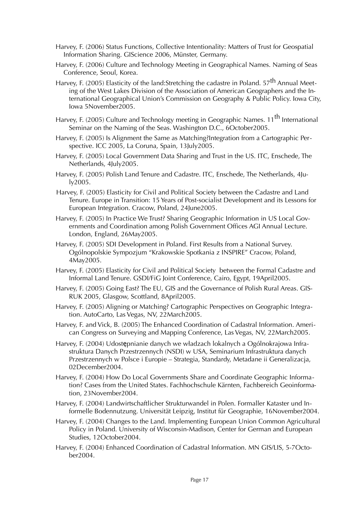- Harvey, F. (2006) Status Functions, Collective Intentionality: Matters of Trust for Geospatial Information Sharing. GIScience 2006, Münster, Germany.
- Harvey, F. (2006) Culture and Technology Meeting in Geographical Names. Naming of Seas Conference, Seoul, Korea.
- Harvey, F. (2005) Elasticity of the land: Stretching the cadastre in Poland.  $57<sup>th</sup>$  Annual Meeting of the West Lakes Division of the Association of American Geographers and the International Geographical Union's Commission on Geography & Public Policy. Iowa City, Iowa 5November2005.
- Harvey, F. (2005) Culture and Technology meeting in Geographic Names. 11<sup>th</sup> International Seminar on the Naming of the Seas. Washington D.C., 6October2005.
- Harvey, F. (2005) Is Alignment the Same as Matching?Integration from a Cartographic Perspective. ICC 2005, La Coruna, Spain, 13July2005.
- Harvey, F. (2005) Local Government Data Sharing and Trust in the US. ITC, Enschede, The Netherlands, 4July2005.
- Harvey, F. (2005) Polish Land Tenure and Cadastre. ITC, Enschede, The Netherlands, 4July2005.
- Harvey, F. (2005) Elasticity for Civil and Political Society between the Cadastre and Land Tenure. Europe in Transition: 15 Years of Post-socialist Development and its Lessons for European Integration. Cracow, Poland, 24June2005.
- Harvey, F. (2005) In Practice We Trust? Sharing Geographic Information in US Local Governments and Coordination among Polish Government Offices AGI Annual Lecture. London, England, 26May2005.
- Harvey, F. (2005) SDI Development in Poland. First Results from a National Survey. Ogólnopolskie Sympozjum "Krakowskie Spotkania z INSPIRE" Cracow, Poland, 4May2005.
- Harvey, F. (2005) Elasticity for Civil and Political Society between the Formal Cadastre and Informal Land Tenure. GSDI/FiG Joint Conference, Cairo, Egypt, 19April2005.
- Harvey, F. (2005) Going East? The EU, GIS and the Governance of Polish Rural Areas. GIS-RUK 2005, Glasgow, Scottland, 8April2005.
- Harvey, F. (2005) Aligning or Matching? Cartographic Perspectives on Geographic Integration. AutoCarto, Las Vegas, NV, 22March2005.
- Harvey, F. and Vick, B. (2005) The Enhanced Coordination of Cadastral Information. American Congress on Surveying and Mapping Conference, Las Vegas, NV, 22March2005.
- Harvey, F. (2004) Udostępnianie danych we władzach lokalnych a Ogólnokrajowa Infrastruktura Danych Przestrzennych (NSDI) w USA, Seminarium Infrastruktura danych Przestrzennych w Polsce i Europie – Strategia, Standardy, Metadane ii Generalizacja, 02December2004.
- Harvey, F. (2004) How Do Local Governments Share and Coordinate Geographic Information? Cases from the United States. Fachhochschule Kärnten, Fachbereich Geoinformation, 23November2004.
- Harvey, F. (2004) Landwirtschaftlicher Strukturwandel in Polen. Formaller Kataster und Informelle Bodennutzung. Universität Leipzig, Institut für Geographie, 16November2004.
- Harvey, F. (2004) Changes to the Land. Implementing European Union Common Agricultural Policy in Poland. University of Wisconsin-Madison, Center for German and European Studies, 12October2004.
- Harvey, F. (2004) Enhanced Coordination of Cadastral Information. MN GIS/LIS, 5-7October2004.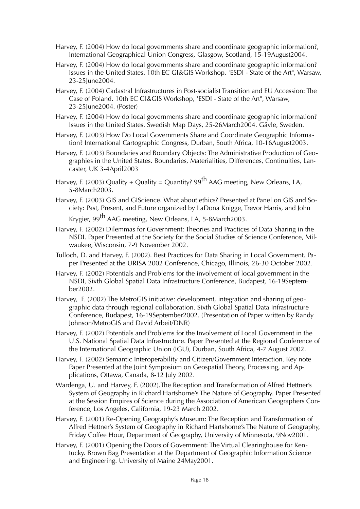- Harvey, F. (2004) How do local governments share and coordinate geographic information?, International Geographical Union Congress, Glasgow, Scotland, 15-19August2004.
- Harvey, F. (2004) How do local governments share and coordinate geographic information? Issues in the United States. 10th EC GI&GIS Workshop, 'ESDI - State of the Art", Warsaw, 23-25June2004.
- Harvey, F. (2004) Cadastral Infrastructures in Post-socialist Transition and EU Accession: The Case of Poland. 10th EC GI&GIS Workshop, 'ESDI - State of the Art", Warsaw, 23-25June2004. (Poster)
- Harvey, F. (2004) How do local governments share and coordinate geographic information? Issues in the United States. Swedish Map Days, 25-26March2004. Gävle, Sweden.
- Harvey, F. (2003) How Do Local Governments Share and Coordinate Geographic Information? International Cartographic Congress, Durban, South Africa, 10-16August2003.
- Harvey, F. (2003) Boundaries and Boundary Objects: The Administrative Production of Geographies in the United States. Boundaries, Materialities, Differences, Continuities, Lancaster, UK 3-4April2003
- Harvey, F. (2003) Quality + Quality = Quantity?  $99^{th}$  AAG meeting, New Orleans, LA, 5-8March2003.
- Harvey, F. (2003) GIS and GIScience. What about ethics? Presented at Panel on GIS and Society: Past, Present, and Future organized by LaDona Knigge, Trevor Harris, and John

Krygier, 99<sup>th</sup> AAG meeting, New Orleans, LA, 5-8March2003.

- Harvey, F. (2002) Dilemmas for Government: Theories and Practices of Data Sharing in the NSDI. Paper Presented at the Society for the Social Studies of Science Conference, Milwaukee, Wisconsin, 7-9 November 2002.
- Tulloch, D. and Harvey, F. (2002). Best Practices for Data Sharing in Local Government. Paper Presented at the URISA 2002 Conference, Chicago, Illinois, 26-30 October 2002.
- Harvey, F. (2002) Potentials and Problems for the involvement of local government in the NSDI, Sixth Global Spatial Data Infrastructure Conference, Budapest, 16-19September2002.
- Harvey, F. (2002) The MetroGIS initiative: development, integration and sharing of geographic data through regional collaboration. Sixth Global Spatial Data Infrastructure Conference, Budapest, 16-19September2002. (Presentation of Paper written by Randy Johnson/MetroGIS and David Arbeit/DNR)
- Harvey, F. (2002) Potentials and Problems for the Involvement of Local Government in the U.S. National Spatial Data Infrastructure. Paper Presented at the Regional Conference of the International Geographic Union (IGU), Durban, South Africa, 4-7 August 2002.
- Harvey, F. (2002) Semantic Interoperability and Citizen/Government Interaction. Key note Paper Presented at the Joint Symposium on Geospatial Theory, Processing, and Applications, Ottawa, Canada, 8-12 July 2002.
- Wardenga, U. and Harvey, F. (2002).The Reception and Transformation of Alfred Hettner's System of Geography in Richard Hartshorne's The Nature of Geography. Paper Presented at the Session Empires of Science during the Association of American Geographers Conference, Los Angeles, California, 19-23 March 2002.
- Harvey, F. (2001) Re-Opening Geography's Museum: The Reception and Transformation of Alfred Hettner's System of Geography in Richard Hartshorne's The Nature of Geography, Friday Coffee Hour, Department of Geography, University of Minnesota, 9Nov2001.
- Harvey, F. (2001) Opening the Doors of Government: The Virtual Clearinghouse for Kentucky. Brown Bag Presentation at the Department of Geographic Information Science and Engineering. University of Maine 24May2001.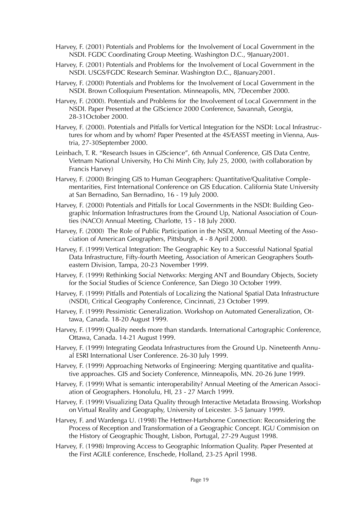- Harvey, F. (2001) Potentials and Problems for the Involvement of Local Government in the NSDI. FGDC Coordinating Group Meeting. Washington D.C., 9January2001.
- Harvey, F. (2001) Potentials and Problems for the Involvement of Local Government in the NSDI. USGS/FGDC Research Seminar. Washington D.C., 8January2001.
- Harvey, F. (2000) Potentials and Problems for the Involvement of Local Government in the NSDI. Brown Colloquium Presentation. Minneapolis, MN, 7December 2000.
- Harvey, F. (2000). Potentials and Problems for the Involvement of Local Government in the NSDI. Paper Presented at the GIScience 2000 Conference, Savannah, Georgia, 28-31October 2000.
- Harvey, F. (2000). Potentials and Pitfalls for Vertical Integration for the NSDI: Local Infrastructures for whom and by whom? Paper Presented at the 4S/EASST meeting in Vienna, Austria, 27-30September 2000.
- Leinbach, T. R. "Research Issues in GIScience", 6th Annual Conference, GIS Data Centre, Vietnam National University, Ho Chi Minh City, July 25, 2000, (with collaboration by Francis Harvey)
- Harvey, F. (2000) Bringing GIS to Human Geographers: Quantitative/Qualitative Complementarities, First International Conference on GIS Education. California State University at San Bernadino, San Bernadino, 16 - 19 July 2000.
- Harvey, F. (2000) Potentials and Pitfalls for Local Governments in the NSDI: Building Geographic Information Infrastructures from the Ground Up, National Association of Counties (NACO) Annual Meeting, Charlotte, 15 - 18 July 2000.
- Harvey, F. (2000) The Role of Public Participation in the NSDI, Annual Meeting of the Association of American Geographers, Pittsburgh, 4 - 8 April 2000.
- Harvey, F. (1999) Vertical Integration: The Geographic Key to a Successful National Spatial Data Infrastructure, Fifty-fourth Meeting, Association of American Geographers Southeastern Division, Tampa, 20-23 November 1999.
- Harvey, F. (1999) Rethinking Social Networks: Merging ANT and Boundary Objects, Society for the Social Studies of Science Conference, San Diego 30 October 1999.
- Harvey, F. (1999) Pitfalls and Potentials of Localizing the National Spatial Data Infrastructure (NSDI), Critical Geography Conference, Cincinnati, 23 October 1999.
- Harvey, F. (1999) Pessimistic Generalization. Workshop on Automated Generalization, Ottawa, Canada. 18-20 August 1999.
- Harvey, F. (1999) Quality needs more than standards. International Cartographic Conference, Ottawa, Canada. 14-21 August 1999.
- Harvey, F. (1999) Integrating Geodata Infrastructures from the Ground Up. Nineteenth Annual ESRI International User Conference. 26-30 July 1999.
- Harvey, F. (1999) Approaching Networks of Engineering: Merging quantitative and qualitative approaches. GIS and Society Conference, Minneapolis, MN. 20-26 June 1999.
- Harvey, F. (1999) What is semantic interoperability? Annual Meeting of the American Association of Geographers. Honolulu, HI, 23 - 27 March 1999.
- Harvey, F. (1999) Visualizing Data Quality through Interactive Metadata Browsing. Workshop on Virtual Reality and Geography, University of Leicester. 3-5 January 1999.
- Harvey, F. and Wardenga U. (1998) The Hettner-Hartshorne Connection: Reconsidering the Process of Reception and Transformation of a Geographic Concept. IGU Commision on the History of Geographic Thought, Lisbon, Portugal, 27-29 August 1998.
- Harvey, F. (1998) Improving Access to Geographic Information Quality. Paper Presented at the First AGILE conference, Enschede, Holland, 23-25 April 1998.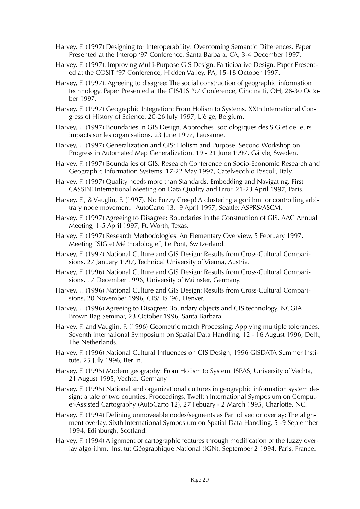- Harvey, F. (1997) Designing for Interoperability: Overcoming Semantic Differences. Paper Presented at the Interop '97 Conference, Santa Barbara, CA, 3-4 December 1997.
- Harvey, F. (1997). Improving Multi-Purpose GIS Design: Participative Design. Paper Presented at the COSIT '97 Conference, Hidden Valley, PA, 15-18 October 1997.
- Harvey, F. (1997). Agreeing to disagree: The social construction of geographic information technology. Paper Presented at the GIS/LIS '97 Conference, Cincinatti, OH, 28-30 October 1997.
- Harvey, F. (1997) Geographic Integration: From Holism to Systems. XXth International Congress of History of Science, 20-26 July 1997, Liè ge, Belgium.
- Harvey, F. (1997) Boundaries in GIS Design. Approches sociologiques des SIG et de leurs impacts sur les organisations. 23 June 1997, Lausanne.
- Harvey, F. (1997) Generalization and GIS: Holism and Purpose. Second Workshop on Progress in Automated Map Generalization. 19 - 21 June 1997, Gä vle, Sweden.
- Harvey, F. (1997) Boundaries of GIS. Research Conference on Socio-Economic Research and Geographic Information Systems. 17-22 May 1997, Catelvecchio Pascoli, Italy.
- Harvey, F. (1997) Quality needs more than Standards. Embedding and Navigating. First CASSINI International Meeting on Data Quality and Error. 21-23 April 1997, Paris.
- Harvey, F., & Vauglin, F. (1997). No Fuzzy Creep! A clustering algorithm for controlling arbitrary node movement. AutoCarto 13. 9 April 1997, Seattle: ASPRS/ASCM.
- Harvey, F. (1997) Agreeing to Disagree: Boundaries in the Construction of GIS. AAG Annual Meeting, 1-5 April 1997, Ft. Worth, Texas.
- Harvey, F. (1997) Research Methodologies: An Elementary Overview, 5 February 1997, Meeting "SIG et Mé thodologie", Le Pont, Switzerland.
- Harvey, F. (1997) National Culture and GIS Design: Results from Cross-Cultural Comparisions, 27 January 1997, Technical University of Vienna, Austria.
- Harvey, F. (1996) National Culture and GIS Design: Results from Cross-Cultural Comparisions, 17 December 1996, University of Mü nster, Germany.
- Harvey, F. (1996) National Culture and GIS Design: Results from Cross-Cultural Comparisions, 20 November 1996, GIS/LIS '96, Denver.
- Harvey, F. (1996) Agreeing to Disagree: Boundary objects and GIS technology. NCGIA Brown Bag Seminar, 23 October 1996, Santa Barbara.
- Harvey, F. and Vauglin, F. (1996) Geometric match Processing: Applying multiple tolerances. Seventh International Symposium on Spatial Data Handling, 12 - 16 August 1996, Delft, The Netherlands.
- Harvey, F. (1996) National Cultural Influences on GIS Design, 1996 GISDATA Summer Institute, 25 July 1996, Berlin.
- Harvey, F. (1995) Modern geography: From Holism to System. ISPAS, University of Vechta, 21 August 1995, Vechta, Germany
- Harvey, F. (1995) National and organizational cultures in geographic information system design: a tale of two counties. Proceedings, Twelfth International Symposium on Computer-Assisted Cartography (AutoCarto 12), 27 Febuary - 2 March 1995, Charlotte, NC.
- Harvey, F. (1994) Defining unmoveable nodes/segments as Part of vector overlay: The alignment overlay. Sixth International Symposium on Spatial Data Handling, 5 -9 September 1994, Edinburgh, Scotland.
- Harvey, F. (1994) Alignment of cartographic features through modification of the fuzzy overlay algorithm. Institut Géographique National (IGN), September 2 1994, Paris, France.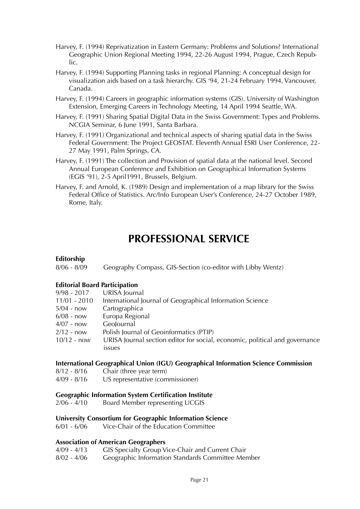- Harvey, F. (1994) Reprivatization in Eastern Germany: Problems and Solutions? International Geographic Union Regional Meeting 1994, 22-26 August 1994, Prague, Czech Republic.
- Harvey, F. (1994) Supporting Planning tasks in regional Planning: A conceptual design for visualization aids based on a task hierarchy. GIS '94, 21-24 February 1994, Vancouver, Canada.
- Harvey, F. (1994) Careers in geographic information systems (GIS). University of Washington Extension, Emerging Careers in Technology Meeting, 14 April 1994 Seattle, WA.
- Harvey, F. (1991) Sharing Spatial Digital Data in the Swiss Government: Types and Problems. NCGIA Seminar, 6 June 1991, Santa Barbara.
- Harvey, F. (1991) Organizational and technical aspects of sharing spatial data in the Swiss Federal Government: The Project GEOSTAT. Eleventh Annual ESRI User Conference, 22- 27 May 1991, Palm Springs, CA.
- Harvey, F. (1991) The collection and Provision of spatial data at the national level. Second Annual European Conference and Exhibition on Geographical Information Systems (EGIS '91), 2-5 April1991, Brussels, Belgium.
- Harvey, F. and Arnold, K. (1989) Design and implementation of a map library for the Swiss Federal Office of Statistics. Arc/Info European User's Conference, 24-27 October 1989, Rome, Italy.

# **PROFESSIONAL SERVICE**

# **Editorship**

8/06 - 8/09 Geography Compass, GIS-Section (co-editor with Libby Wentz)

# **Editorial Board Participation**

| $9/98 - 2017$  | URISA Journal                                                               |
|----------------|-----------------------------------------------------------------------------|
| $11/01 - 2010$ | International Journal of Geographical Information Science                   |
| $5/04$ - now   | Cartographica                                                               |
| $6/08$ - now   | Europa Regional                                                             |
| $4/07$ - now   | Geolournal                                                                  |
| $2/12 - now$   | Polish Journal of Geoinformatics (PTIP)                                     |
| $10/12 - now$  | URISA Journal section editor for social, economic, political and governance |
|                | issues                                                                      |

#### **International Geographical Union (IGU) Geographical Information Science Commission**

- 8/12 8/16 Chair (three year term)
- 4/09 8/16 US representative (commissioner)

#### **Geographic Information System Certification Institute**

2/06 - 4/10 Board Member representing UCGIS

#### **University Consortium for Geographic Information Science**

6/01 - 6/06 Vice-Chair of the Education Committee

# **Association of American Geographers**

- 4/09 4/13 GIS Specialty Group Vice-Chair and Current Chair
- 8/02 4/06 Geographic Information Standards Committee Member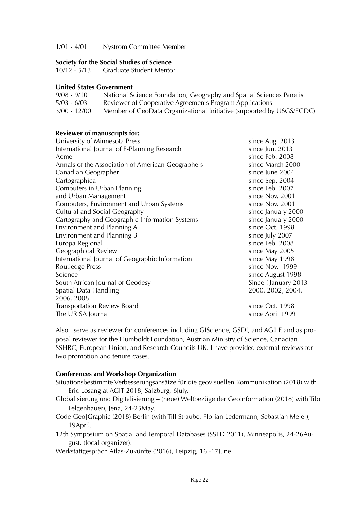1/01 - 4/01 Nystrom Committee Member

## **Society for the Social Studies of Science**

10/12 - 5/13 Graduate Student Mentor

#### **United States Government**

| $9/08 - 9/10$  | National Science Foundation, Geography and Spatial Sciences Panelist |
|----------------|----------------------------------------------------------------------|
| $5/03 - 6/03$  | Reviewer of Cooperative Agreements Program Applications              |
| $3/00 - 12/00$ | Member of GeoData Organizational Initiative (supported by USGS/FGDC) |

# **Reviewer of manuscripts for:**

| University of Minnesota Press                     | since Aug. 2013      |
|---------------------------------------------------|----------------------|
| International Journal of E-Planning Research      | since Jun. 2013      |
| Acme                                              | since Feb. 2008      |
| Annals of the Association of American Geographers | since March 2000     |
| Canadian Geographer                               | since June 2004      |
| Cartographica                                     | since Sep. 2004      |
| Computers in Urban Planning                       | since Feb. 2007      |
| and Urban Management                              | since Nov. 2001      |
| Computers, Environment and Urban Systems          | since Nov. 2001      |
| Cultural and Social Geography                     | since January 2000   |
| Cartography and Geographic Information Systems    | since January 2000   |
| Environment and Planning A                        | since Oct. 1998      |
| Environment and Planning B                        | since July 2007      |
| Europa Regional                                   | since Feb. 2008      |
| Geographical Review                               | since May 2005       |
| International Journal of Geographic Information   | since May 1998       |
| <b>Routledge Press</b>                            | since Nov. 1999      |
| Science                                           | since August 1998    |
| South African Journal of Geodesy                  | Since 1 January 2013 |
| Spatial Data Handling                             | 2000, 2002, 2004,    |
| 2006, 2008                                        |                      |
| <b>Transportation Review Board</b>                | since Oct. 1998      |
| The URISA Journal                                 | since April 1999     |
|                                                   |                      |

Also I serve as reviewer for conferences including GIScience, GSDI, and AGILE and as proposal reviewer for the Humboldt Foundation, Austrian Ministry of Science, Canadian SSHRC, European Union, and Research Councils UK. I have provided external reviews for two promotion and tenure cases.

# **Conferences and Workshop Organization**

- Situationsbestimmte Verbesserungsansätze für die geovisuellen Kommunikation (2018) with Eric Losang at AGIT 2018, Salzburg, 6July.
- Globalisierung und Digitalisierung (neue) Weltbezüge der Geoinformation (2018) with Tilo Felgenhauer), Jena, 24-25May.
- Code|Geo|Graphic (2018) Berlin (with Till Straube, Florian Ledermann, Sebastian Meier), 19April.
- 12th Symposium on Spatial and Temporal Databases (SSTD 2011), Minneapolis, 24-26August. (local organizer).

Werkstattgespräch Atlas-Zukünfte (2016), Leipzig, 16.-17June.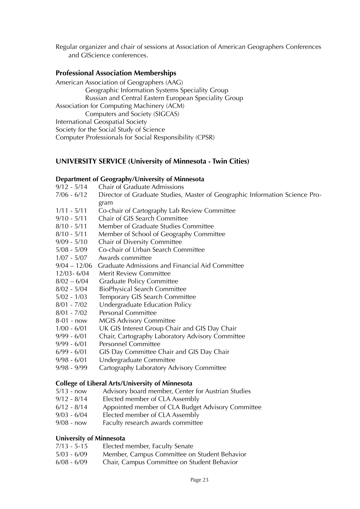Regular organizer and chair of sessions at Association of American Geographers Conferences and GIScience conferences.

# **Professional Association Memberships**

American Association of Geographers (AAG) Geographic Information Systems Speciality Group Russian and Central Eastern European Speciality Group Association for Computing Machinery (ACM) Computers and Society (SIGCAS) International Geospatial Society Society for the Social Study of Science Computer Professionals for Social Responsibility (CPSR)

# **UNIVERSITY SERVICE (University of Minnesota - Twin Cities)**

#### **Department of Geography/University of Minnesota**

- 9/12 5/14 Chair of Graduate Admissions
- 7/06 6/12 Director of Graduate Studies, Master of Geographic Information Science Program
- 1/11 5/11 Co-chair of Cartography Lab Review Committee
- 9/10 5/11 Chair of GIS Search Committee
- 8/10 5/11 Member of Graduate Studies Committee
- 8/10 5/11 Member of School of Geography Committee
- 9/09 5/10 Chair of Diversity Committee
- 5/08 5/09 Co-chair of Urban Search Committee
- 1/07 5/07 Awards committee
- 9/04 12/06 Graduate Admissions and Financial Aid Committee
- 12/03- 6/04 Merit Review Committee
- 8/02 6/04 Graduate Policy Committee
- 8/02 5/04 BioPhysical Search Committee
- 5/02 1/03 Temporary GIS Search Committee
- 8/01 7/02 Undergraduate Education Policy
- 8/01 7/02 Personal Committee
- 8-01 now MGIS Advisory Committee
- 1/00 6/01 UK GIS Interest Group Chair and GIS Day Chair
- 9/99 6/01 Chair, Cartography Laboratory Advisory Committee
- 9/99 6/01 Personnel Committee
- 6/99 6/01 GIS Day Committee Chair and GIS Day Chair
- 9/98 6/01 Undergraduate Committee
- 9/98 9/99 Cartography Laboratory Advisory Committee

#### **College of Liberal Arts/University of Minnesota**

- 5/13 now Advisory board member, Center for Austrian Studies
- 9/12 8/14 Elected member of CLA Assembly
- 6/12 8/14 Appointed member of CLA Budget Advisory Committee
- 9/03 6/04 Elected member of CLA Assembly
- 9/08 now Faculty research awards committee

# **University of Minnesota**

- 7/13 5-15 Elected member, Faculty Senate
- 5/03 6/09 Member, Campus Committee on Student Behavior
- 6/08 6/09 Chair, Campus Committee on Student Behavior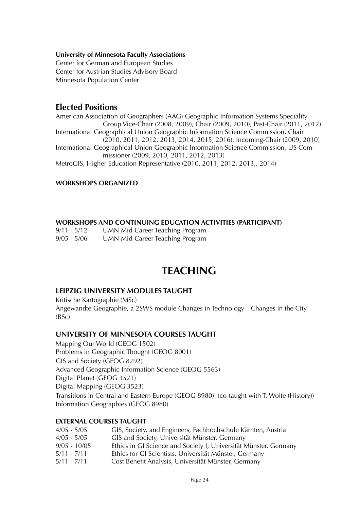## **University of Minnesota Faculty Associations**

Center for German and European Studies Center for Austrian Studies Advisory Board Minnesota Population Center

# **Elected Positions**

American Association of Geographers (AAG) Geographic Information Systems Speciality Group Vice-Chair (2008, 2009), Chair (2009, 2010), Past-Chair (2011, 2012) International Geographical Union Geographic Information Science Commission, Chair (2010, 2011, 2012, 2013, 2014, 2015, 2016), Incoming-Chair (2009, 2010) International Geographical Union Geographic Information Science Commission, US Commissioner (2009, 2010, 2011, 2012, 2013) MetroGIS, Higher Education Representative (2010, 2011, 2012, 2013,, 2014)

# **WORKSHOPS ORGANIZED**

# **WORKSHOPS AND CONTINUING EDUCATION ACTIVITIES (PARTICIPANT)**

9/11 - 5/12 UMN Mid-Career Teaching Program 9/05 - 5/06 UMN Mid-Career Teaching Program

# **TEACHING**

# **LEIPZIG UNIVERSITY MODULES TAUGHT**

Kritische Kartographie (MSc) Angewandte Geographie, a 2SWS module Changes in Technology—Changes in the City (BSc)

# **UNIVERSITY OF MINNESOTA COURSES TAUGHT**

Mapping Our World (GEOG 1502) Problems in Geographic Thought (GEOG 8001) GIS and Society (GEOG 8292) Advanced Geographic Information Science (GEOG 5563) Digital Planet (GEOG 3521) Digital Mapping (GEOG 3523) Transitions in Central and Eastern Europe (GEOG 8980) (co-taught with T. Wolfe (History)) Information Geographies (GEOG 8980)

# **EXTERNAL COURSES TAUGHT**

| 4/05 - 5/05    | GIS, Society, and Engineers, Fachhochschule Kärnten, Austria     |
|----------------|------------------------------------------------------------------|
| 4/05 - 5/05    | GIS and Society, Universität Münster, Germany                    |
| $9/05 - 10/05$ | Ethics in GI Science and Society I, Universität Münster, Germany |
| 5/11 - 7/11    | Ethics for GI Scientists, Universität Münster, Germany           |
| $5/11 - 7/11$  | Cost Benefit Analysis, Universität Münster, Germany              |